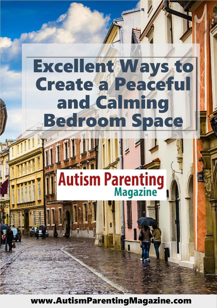# Excellent Ways to Create a Peaceful and Calming Bedroom Space

# **Autism Parenting**

[www.AutismParentingMagazine.com](http://www.autismparentingmagazine.com/)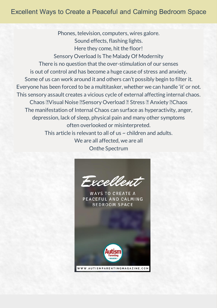# Excellent Ways to Create a Peaceful and Calming Bedroom Space

Phones, television, computers, wires galore. Sound effects, flashing lights. Here they come, hit the floor! Sensory Overload Is The Malady Of Modernity There is no question that the over-stimulation of our senses is out of control and has become a huge cause of stress and anxiety. Some of us can work around it and others can't possibly begin to filter it. Everyone has been forced to be amultitasker,whether we can handle 'it' or not. This sensory assault creates a vicious cycle of external affecting internal chaos. Chaos **Nisual Noise Bensory Overload <b>B** Stress **R** Anxiety **R** Chaos The manifestation of Internal Chaos can surface as hyperactivity, anger, depression, lack of sleep, physical pain and many other symptoms often overlooked or misinterpreted. This article is relevant to all of us  $\sim$  children and adults. We are all affected, we are all Onthe Spectrum



**WAYS TO CREATE A** PEACEFUL AND CALMING **BEDROOM SPACE** 

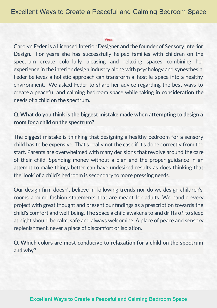#### Pinit

Carolyn Feder is a Licensed Interior Designer and the founder of Sensory Interior Design. For years she has successfully helped families with children on the spectrum create colorfully pleasing and relaxing spaces combining her experience in the interior design industry along with psychology and synesthesia. Feder believes a holistic approach can transform a 'hostile' space into a healthy environment. We asked Feder to share her advice regarding the best ways to create a peaceful and calming bedroom space while taking in consideration the needs of a child on the spectrum.

# **Q. What do you think is the biggest mistake made when attempting to design a room for a child on the spectrum?**

The biggest mistake is thinking that designing a healthy bedroom for a sensory child has to be expensive. That's really not the case if it's done correctly from the start. Parents are overwhelmed with many decisions that revolve around the care of their child. Spending money without a plan and the proper guidance in an attempt to make things better can have undesired results as does thinking that the 'look' of a child's bedroom is secondary to more pressing needs.

Our design firm doesn't believe in following trends nor do we design children's rooms around fashion statements that are meant for adults. We handle every project with great thought and present our findings as a prescription towards the child's comfort and well-being. The space a child awakens to and drifts on to sleep at night should be calm, safe and always welcoming. A place of peace and sensory replenishment, never a place of discomfort or isolation.

**Q. Which colors are most conducive to relaxation for a child on the spectrum and why?**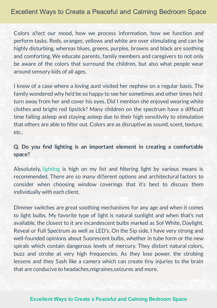Colors allect our mood, how we process information, how we function and perform tasks. Reds, oranges, yellows and white are over stimulating and can be highly disturbing, whereas blues, greens, purples, browns and black are soothing and comforting. We educate parents, family members and caregivers to not only be aware of the colors that surround the children, but also what people wear around sensory kids of all ages.

I know of a case where a loving aunt visited her nephew on a regular basis. The family wondered why he'd be so happy to see her sometimes and other times he'd turn away from her and cover his eyes. Did I mention she enjoyed wearing white clothes and bright red lipstick? Many children on the spectrum have a difficult time falling asleep and staying asleep due to their high sensitivity to stimulation that others are able to filter out. Colors are as disruptive as sound, scent, texture, etc..

# **Q. Do you nd lighting is an important element in creating a comfortable space?**

Absolutely, lighting is high on my list and filtering light by various means is recommended. There are so many di**llerent options and architectural factors to** consider when choosing window coverings that it's best to discuss them individually with each client.

Dimmer switches are great soothing mechanisms for any age and when it comes to light bulbs. My favorite type of light is natural sunlight and when that's not available, the closest to it are incandescent bulbs marked as SoI White, Daylight, Reveal or Full Spectrum as well as LED's. On the 5ip side, I have very strong and well-founded opinions about 5uorescent bulbs, whether in tube form or the new spirals which contain dangerous levels of mercury. They distort natural colors, buzz and strobe at very high frequencies. As they lose power, the strobing lessens and they 5ash like a camera which can create tiny injuries to the brain that are conducive to headaches,migraines,seizures andmore.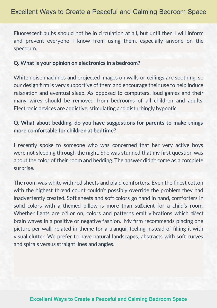Fluorescent bulbs should not be in circulation at all, but until then I will inform and prevent everyone I know from using them, especially anyone on the spectrum.

#### **Q. What is your opinion on electronics in a bedroom?**

White noise machines and projected images on walls or ceilings are soothing, so our design firm is very supportive of them and encourage their use to help induce relaxation and eventual sleep. As opposed to computers, loud games and their many wires should be removed from bedrooms of all children and adults. Electronic devices are addictive, stimulating and disturbingly hypnotic.

# **Q. What about bedding, do you have suggestions for parents to make things more comfortable forchildren at bedtime?**

I recently spoke to someone who was concerned that her very active boys were not sleeping through the night. She was stunned that my first question was about the color of their room and bedding. The answer didn't come as a complete surprise.

The room was white with red sheets and plaid comforters. Even the finest cotton with the highest thread count couldn't possibly override the problem they had inadvertently created. Soft sheets and soft colors go hand in hand, comforters in solid colors with a themed pillow is more than sullectiont for a child's room. Whether lights are  $\circ$ ? or on, colors and patterns emit vibrations which a? lect brain waves in a positive or negative fashion. My firm recommends placing one picture per wall, related in theme for a tranquil feeling instead of filling it with visual clutter. We prefer to have natural landscapes, abstracts with soft curves and spirals versus straight lines and angles.

#### **[Excellent](http://www.autismparentingmagazine.com/excellent-ways-to-create-a-peaceful-and-calming-bedroom-space/) Ways to Create a Peaceful and Calming Bedroom Space**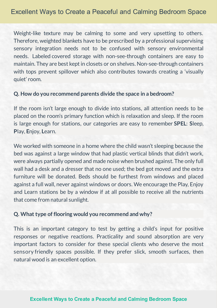Weight-like texture may be calming to some and very upsetting to others. Therefore, weighted blankets have to be prescribed by a professional supervising sensory integration needs not to be confused with sensory environmental needs. Labeled covered storage with non-see-through containers are easy to maintain. They are best kept in closets or on shelves. Non-see-through containers with tops prevent spillover which also contributes towards creating a 'visually quiet' room.

#### **Q. How do you recommend parents divide the space in a bedroom?**

If the room isn't large enough to divide into stations, all attention needs to be placed on the room's primary function which is relaxation and sleep. If the room is large enough for stations, our categories are easy to remember **SPEL**: **S**leep, **P**lay, **E**njoy, **L**earn.

We worked with someone in a home where the child wasn't sleeping because the bed was against a large window that had plastic vertical blinds that didn't work, were always partially opened and made noisewhen brushed against. The only full wall had a desk and a dresser that no one used; the bed got moved and the extra furniture will be donated. Beds should be furthest from windows and placed against a full wall, never against windows or doors. We encourage the Play, Enjoy and Learn stations be by a window if at all possible to receive all the nutrients that come from natural sunlight.

#### **Q. What type of flooringwould you recommend andwhy?**

This is an important category to test by getting a child's input for positive responses or negative reactions. Practicality and sound absorption are very important factors to consider for these special clients who deserve the most sensory friendly spaces possible. If they prefer slick, smooth surfaces, then natural wood is an excellent option.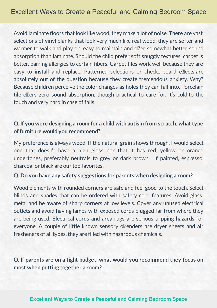Avoid laminate floors that look like wood, they make a lot of noise. There are vast selections of vinyl planks that look very much like real wood, they are softer and warmer to walk and play on, easy to maintain and oller somewhat better sound absorption than laminate. Should the child prefer soft snuggly textures, carpet is better, barring allergies to certain fibers. Carpet tiles work well because they are easy to install and replace. Patterned selections or checkerboard ellects are absolutely out of the question because they create tremendous anxiety. Why? Because children perceive the color changes as holes they can fall into. Porcelain tile olers zero sound absorption, though practical to care for, it's cold to the touch and very hard in case of falls.

## **Q. If you were designing a room for a child with autism from scratch, what type of furniture would you recommend?**

My preference is always wood. If the natural grain shows through, I would select one that doesn't have a high gloss nor that it has red, yellow or orange undertones, preferably neutrals to grey or dark brown. If painted, espresso, charcoal or black are our top favorites.

#### **Q. Do you have any safety suggestions for parents when designing a room?**

Wood elements with rounded corners are safe and feel good to the touch. Select blinds and shades that can be ordered with safety cord features. Avoid glass, metal and be aware of sharp corners at low levels. Cover any unused electrical outlets and avoid having lamps with exposed cords plugged far from where they are being used. Electrical cords and area rugs are serious tripping hazards for everyone. A couple of little known sensory o**nders are dryer sheets and air** fresheners of all types, they are filled with hazardous chemicals.

**Q. If parents are on a tight budget, what would you recommend they focus on most when putting together a room?**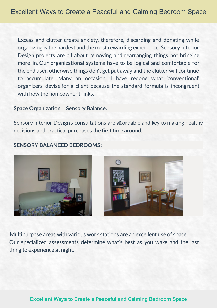Excess and clutter create anxiety, therefore, discarding and donating while organizing is the hardest and the most rewarding experience. Sensory Interior Design projects are all about removing and rearranging things not bringing more in. Our organizational systems have to be logical and comfortable for the end user, otherwise things don't get put away and the clutter will continue to accumulate. Many an occasion, I have redone what 'conventional' organizers devise for a client because the standard formula is incongruent with how the homeowner thinks.

#### **Space Organization = Sensory Balance.**

Sensory Interior Design's consultations are allordable and key to making healthy decisions and practical purchases the first time around.

#### **SENSORY BALANCED BEDROOMS:**





Multipurpose areas with various work stations are an excellent use of space. Our specialized assessments determine what's best as you wake and the last thing to experience at night.

#### **[Excellent Ways to Create a Peaceful and Calming Bedroom Space](http://www.autismparentingmagazine.com/excellent-ways-to-create-a-peaceful-and-calming-bedroom-space/)**